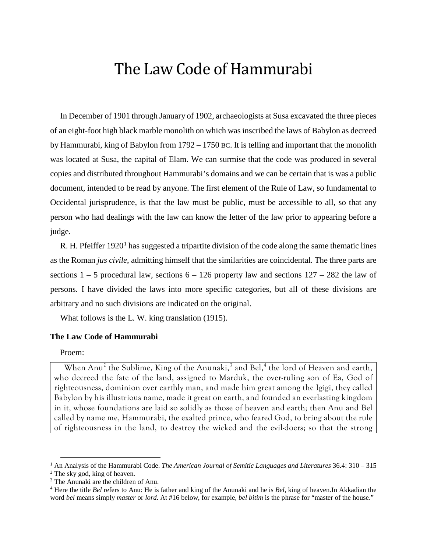# The Law Code of Hammurabi

In December of 1901 through January of 1902, archaeologists at Susa excavated the three pieces of an eight-foot high black marble monolith on which was inscribed the laws of Babylon as decreed by Hammurabi, king of Babylon from 1792 – 1750 BC. It is telling and important that the monolith was located at Susa, the capital of Elam. We can surmise that the code was produced in several copies and distributed throughout Hammurabi's domains and we can be certain that is was a public document, intended to be read by anyone. The first element of the Rule of Law, so fundamental to Occidental jurisprudence, is that the law must be public, must be accessible to all, so that any person who had dealings with the law can know the letter of the law prior to appearing before a judge.

R. H. Pfeiffer  $1920<sup>1</sup>$  $1920<sup>1</sup>$  has suggested a tripartite division of the code along the same thematic lines as the Roman *jus civile*, admitting himself that the similarities are coincidental. The three parts are sections  $1 - 5$  procedural law, sections  $6 - 126$  property law and sections  $127 - 282$  the law of persons. I have divided the laws into more specific categories, but all of these divisions are arbitrary and no such divisions are indicated on the original.

What follows is the L. W. king translation (1915).

## **The Law Code of Hammurabi**

# Proem:

 $\overline{a}$ 

When Anu<sup>[2](#page-0-1)</sup> the Sublime, King of the Anunaki,<sup>[3](#page-0-2)</sup> and Bel,<sup>[4](#page-0-3)</sup> the lord of Heaven and earth, who decreed the fate of the land, assigned to Marduk, the over-ruling son of Ea, God of righteousness, dominion over earthly man, and made him great among the Igigi, they called Babylon by his illustrious name, made it great on earth, and founded an everlasting kingdom in it, whose foundations are laid so solidly as those of heaven and earth; then Anu and Bel called by name me, Hammurabi, the exalted prince, who feared God, to bring about the rule of righteousness in the land, to destroy the wicked and the evil-doers; so that the strong

<span id="page-0-0"></span><sup>1</sup> An Analysis of the Hammurabi Code. *The American Journal of Semitic Languages and Literatures* 36.4: 310 – 315

<span id="page-0-1"></span><sup>2</sup> The sky god, king of heaven.

<span id="page-0-2"></span><sup>&</sup>lt;sup>3</sup> The Anunaki are the children of Anu.

<span id="page-0-3"></span><sup>4</sup> Here the title *Bel* refers to Anu: He is father and king of the Anunaki and he is *Bel*, king of heaven.In Akkadian the word *bel* means simply *master* or *lord*. At #16 below, for example, *bel bitim* is the phrase for "master of the house."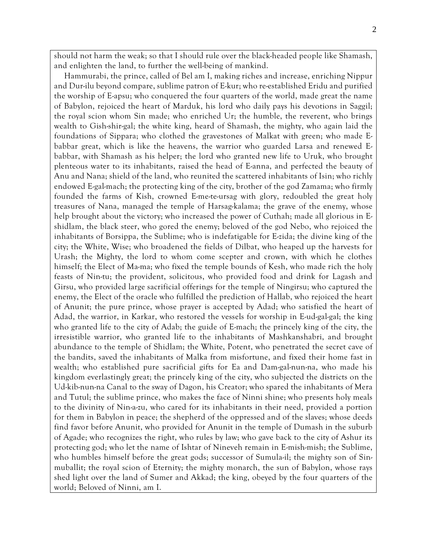should not harm the weak; so that I should rule over the black-headed people like Shamash, and enlighten the land, to further the well-being of mankind.

Hammurabi, the prince, called of Bel am I, making riches and increase, enriching Nippur and Dur-ilu beyond compare, sublime patron of E-kur; who re-established Eridu and purified the worship of E-apsu; who conquered the four quarters of the world, made great the name of Babylon, rejoiced the heart of Marduk, his lord who daily pays his devotions in Saggil; the royal scion whom Sin made; who enriched Ur; the humble, the reverent, who brings wealth to Gish-shir-gal; the white king, heard of Shamash, the mighty, who again laid the foundations of Sippara; who clothed the gravestones of Malkat with green; who made Ebabbar great, which is like the heavens, the warrior who guarded Larsa and renewed Ebabbar, with Shamash as his helper; the lord who granted new life to Uruk, who brought plenteous water to its inhabitants, raised the head of E-anna, and perfected the beauty of Anu and Nana; shield of the land, who reunited the scattered inhabitants of Isin; who richly endowed E-gal-mach; the protecting king of the city, brother of the god Zamama; who firmly founded the farms of Kish, crowned E-me-te-ursag with glory, redoubled the great holy treasures of Nana, managed the temple of Harsag-kalama; the grave of the enemy, whose help brought about the victory; who increased the power of Cuthah; made all glorious in Eshidlam, the black steer, who gored the enemy; beloved of the god Nebo, who rejoiced the inhabitants of Borsippa, the Sublime; who is indefatigable for E-zida; the divine king of the city; the White, Wise; who broadened the fields of Dilbat, who heaped up the harvests for Urash; the Mighty, the lord to whom come scepter and crown, with which he clothes himself; the Elect of Ma-ma; who fixed the temple bounds of Kesh, who made rich the holy feasts of Nin-tu; the provident, solicitous, who provided food and drink for Lagash and Girsu, who provided large sacrificial offerings for the temple of Ningirsu; who captured the enemy, the Elect of the oracle who fulfilled the prediction of Hallab, who rejoiced the heart of Anunit; the pure prince, whose prayer is accepted by Adad; who satisfied the heart of Adad, the warrior, in Karkar, who restored the vessels for worship in E-ud-gal-gal; the king who granted life to the city of Adab; the guide of E-mach; the princely king of the city, the irresistible warrior, who granted life to the inhabitants of Mashkanshabri, and brought abundance to the temple of Shidlam; the White, Potent, who penetrated the secret cave of the bandits, saved the inhabitants of Malka from misfortune, and fixed their home fast in wealth; who established pure sacrificial gifts for Ea and Dam-gal-nun-na, who made his kingdom everlastingly great; the princely king of the city, who subjected the districts on the Ud-kib-nun-na Canal to the sway of Dagon, his Creator; who spared the inhabitants of Mera and Tutul; the sublime prince, who makes the face of Ninni shine; who presents holy meals to the divinity of Nin-a-zu, who cared for its inhabitants in their need, provided a portion for them in Babylon in peace; the shepherd of the oppressed and of the slaves; whose deeds find favor before Anunit, who provided for Anunit in the temple of Dumash in the suburb of Agade; who recognizes the right, who rules by law; who gave back to the city of Ashur its protecting god; who let the name of Ishtar of Nineveh remain in E-mish-mish; the Sublime, who humbles himself before the great gods; successor of Sumula-il; the mighty son of Sinmuballit; the royal scion of Eternity; the mighty monarch, the sun of Babylon, whose rays shed light over the land of Sumer and Akkad; the king, obeyed by the four quarters of the world; Beloved of Ninni, am I.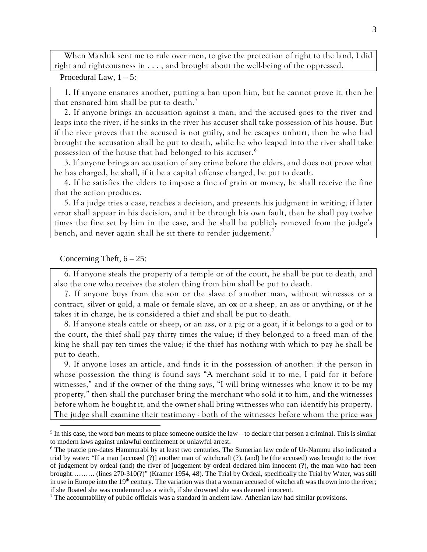When Marduk sent me to rule over men, to give the protection of right to the land, I did right and righteousness in . . . , and brought about the well-being of the oppressed.

Procedural Law,  $1 - 5$ :

1. If anyone ensnares another, putting a ban upon him, but he cannot prove it, then he that ensnared him shall be put to death.<sup>[5](#page-2-0)</sup>

2. If anyone brings an accusation against a man, and the accused goes to the river and leaps into the river, if he sinks in the river his accuser shall take possession of his house. But if the river proves that the accused is not guilty, and he escapes unhurt, then he who had brought the accusation shall be put to death, while he who leaped into the river shall take possession of the house that had belonged to his accuser.<sup>[6](#page-2-1)</sup>

3. If anyone brings an accusation of any crime before the elders, and does not prove what he has charged, he shall, if it be a capital offense charged, be put to death.

4. If he satisfies the elders to impose a fine of grain or money, he shall receive the fine that the action produces.

5. If a judge tries a case, reaches a decision, and presents his judgment in writing; if later error shall appear in his decision, and it be through his own fault, then he shall pay twelve times the fine set by him in the case, and he shall be publicly removed from the judge's bench, and never again shall he sit there to render judgement.<sup>[7](#page-2-2)</sup>

#### Concerning Theft,  $6 - 25$ :

 $\overline{a}$ 

6. If anyone steals the property of a temple or of the court, he shall be put to death, and also the one who receives the stolen thing from him shall be put to death.

7. If anyone buys from the son or the slave of another man, without witnesses or a contract, silver or gold, a male or female slave, an ox or a sheep, an ass or anything, or if he takes it in charge, he is considered a thief and shall be put to death.

8. If anyone steals cattle or sheep, or an ass, or a pig or a goat, if it belongs to a god or to the court, the thief shall pay thirty times the value; if they belonged to a freed man of the king he shall pay ten times the value; if the thief has nothing with which to pay he shall be put to death.

9. If anyone loses an article, and finds it in the possession of another: if the person in whose possession the thing is found says "A merchant sold it to me, I paid for it before witnesses," and if the owner of the thing says, "I will bring witnesses who know it to be my property," then shall the purchaser bring the merchant who sold it to him, and the witnesses before whom he bought it, and the owner shall bring witnesses who can identify his property. The judge shall examine their testimony - both of the witnesses before whom the price was

<span id="page-2-0"></span><sup>5</sup> In this case, the word *ban* means to place someone outside the law – to declare that person a criminal. This is similar to modern laws against unlawful confinement or unlawful arrest.

<span id="page-2-1"></span><sup>6</sup> The pratcie pre-dates Hammurabi by at least two centuries. The Sumerian law code of Ur-Nammu also indicated a trial by water: "If a man [accused (?)] another man of witchcraft (?), (and) he (the accused) was brought to the river of judgement by ordeal (and) the river of judgement by ordeal declared him innocent (?), the man who had been brought………. (lines 270-310(?)" (Kramer 1954, 48). The Trial by Ordeal, specifically the Trial by Water, was still in use in Europe into the  $19<sup>th</sup>$  century. The variation was that a woman accused of witchcraft was thrown into the river; if she floated she was condemned as a witch, if she drowned she was deemed innocent.

<span id="page-2-2"></span><sup>7</sup> The accountability of public officials was a standard in ancient law. Athenian law had similar provisions.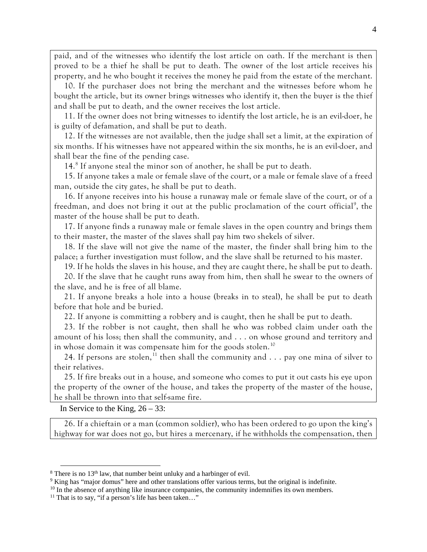paid, and of the witnesses who identify the lost article on oath. If the merchant is then proved to be a thief he shall be put to death. The owner of the lost article receives his property, and he who bought it receives the money he paid from the estate of the merchant.

10. If the purchaser does not bring the merchant and the witnesses before whom he bought the article, but its owner brings witnesses who identify it, then the buyer is the thief and shall be put to death, and the owner receives the lost article.

11. If the owner does not bring witnesses to identify the lost article, he is an evil-doer, he is guilty of defamation, and shall be put to death.

12. If the witnesses are not available, then the judge shall set a limit, at the expiration of six months. If his witnesses have not appeared within the six months, he is an evil-doer, and shall bear the fine of the pending case.

14.<sup>[8](#page-3-0)</sup> If anyone steal the minor son of another, he shall be put to death.

15. If anyone takes a male or female slave of the court, or a male or female slave of a freed man, outside the city gates, he shall be put to death.

16. If anyone receives into his house a runaway male or female slave of the court, or of a freedman, and does not bring it out at the public proclamation of the court official<sup>[9](#page-3-1)</sup>, the master of the house shall be put to death.

17. If anyone finds a runaway male or female slaves in the open country and brings them to their master, the master of the slaves shall pay him two shekels of silver.

18. If the slave will not give the name of the master, the finder shall bring him to the palace; a further investigation must follow, and the slave shall be returned to his master.

19. If he holds the slaves in his house, and they are caught there, he shall be put to death.

20. If the slave that he caught runs away from him, then shall he swear to the owners of the slave, and he is free of all blame.

21. If anyone breaks a hole into a house (breaks in to steal), he shall be put to death before that hole and be buried.

22. If anyone is committing a robbery and is caught, then he shall be put to death.

23. If the robber is not caught, then shall he who was robbed claim under oath the amount of his loss; then shall the community, and . . . on whose ground and territory and in whose domain it was compensate him for the goods stolen.<sup>[10](#page-3-2)</sup>

24. If persons are stolen,<sup>[11](#page-3-3)</sup> then shall the community and  $\ldots$  pay one mina of silver to their relatives.

25. If fire breaks out in a house, and someone who comes to put it out casts his eye upon the property of the owner of the house, and takes the property of the master of the house, he shall be thrown into that self-same fire.

In Service to the King,  $26 - 33$ :

 $\overline{a}$ 

26. If a chieftain or a man (common soldier), who has been ordered to go upon the king's highway for war does not go, but hires a mercenary, if he withholds the compensation, then

<span id="page-3-0"></span><sup>&</sup>lt;sup>8</sup> There is no 13<sup>th</sup> law, that number beint unluky and a harbinger of evil.

<span id="page-3-1"></span><sup>9</sup> King has "major domus" here and other translations offer various terms, but the original is indefinite.

 $10$  In the absence of anything like insurance companies, the community indemnifies its own members.

<span id="page-3-3"></span><span id="page-3-2"></span><sup>&</sup>lt;sup>11</sup> That is to say, "if a person's life has been taken..."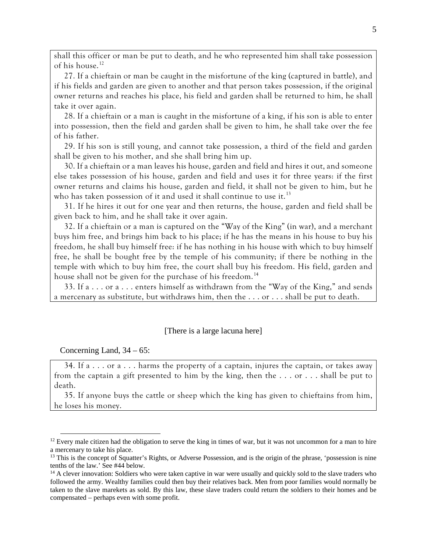shall this officer or man be put to death, and he who represented him shall take possession of his house.<sup>[12](#page-4-0)</sup>

27. If a chieftain or man be caught in the misfortune of the king (captured in battle), and if his fields and garden are given to another and that person takes possession, if the original owner returns and reaches his place, his field and garden shall be returned to him, he shall take it over again.

28. If a chieftain or a man is caught in the misfortune of a king, if his son is able to enter into possession, then the field and garden shall be given to him, he shall take over the fee of his father.

29. If his son is still young, and cannot take possession, a third of the field and garden shall be given to his mother, and she shall bring him up.

30. If a chieftain or a man leaves his house, garden and field and hires it out, and someone else takes possession of his house, garden and field and uses it for three years: if the first owner returns and claims his house, garden and field, it shall not be given to him, but he who has taken possession of it and used it shall continue to use it.<sup>[13](#page-4-1)</sup>

31. If he hires it out for one year and then returns, the house, garden and field shall be given back to him, and he shall take it over again.

32. If a chieftain or a man is captured on the "Way of the King" (in war), and a merchant buys him free, and brings him back to his place; if he has the means in his house to buy his freedom, he shall buy himself free: if he has nothing in his house with which to buy himself free, he shall be bought free by the temple of his community; if there be nothing in the temple with which to buy him free, the court shall buy his freedom. His field, garden and house shall not be given for the purchase of his freedom.<sup>[14](#page-4-2)</sup>

33. If a . . . or a . . . enters himself as withdrawn from the "Way of the King," and sends a mercenary as substitute, but withdraws him, then the . . . or . . . shall be put to death.

## [There is a large lacuna here]

Concerning Land,  $34 - 65$ :

 $\overline{a}$ 

34. If  $a \dots$  or  $a \dots$  harms the property of a captain, injures the captain, or takes away from the captain a gift presented to him by the king, then the . . . or . . . shall be put to death.

35. If anyone buys the cattle or sheep which the king has given to chieftains from him, he loses his money.

<span id="page-4-0"></span> $12$  Every male citizen had the obligation to serve the king in times of war, but it was not uncommon for a man to hire a mercenary to take his place.

<span id="page-4-1"></span><sup>&</sup>lt;sup>13</sup> This is the concept of Squatter's Rights, or Adverse Possession, and is the origin of the phrase, 'possession is nine tenths of the law.' See #44 below.

<span id="page-4-2"></span><sup>&</sup>lt;sup>14</sup> A clever innovation: Soldiers who were taken captive in war were usually and quickly sold to the slave traders who followed the army. Wealthy families could then buy their relatives back. Men from poor families would normally be taken to the slave marekets as sold. By this law, these slave traders could return the soldiers to their homes and be compensated – perhaps even with some profit.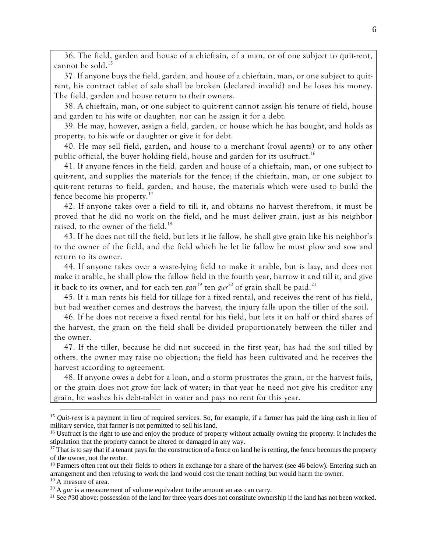36. The field, garden and house of a chieftain, of a man, or of one subject to quit-rent, cannot be sold.<sup>[15](#page-5-0)</sup>

37. If anyone buys the field, garden, and house of a chieftain, man, or one subject to quitrent, his contract tablet of sale shall be broken (declared invalid) and he loses his money. The field, garden and house return to their owners.

38. A chieftain, man, or one subject to quit-rent cannot assign his tenure of field, house and garden to his wife or daughter, nor can he assign it for a debt.

39. He may, however, assign a field, garden, or house which he has bought, and holds as property, to his wife or daughter or give it for debt.

40. He may sell field, garden, and house to a merchant (royal agents) or to any other public official, the buyer holding field, house and garden for its usufruct.<sup>[16](#page-5-1)</sup>

41. If anyone fences in the field, garden and house of a chieftain, man, or one subject to quit-rent, and supplies the materials for the fence; if the chieftain, man, or one subject to quit-rent returns to field, garden, and house, the materials which were used to build the fence become his property.[17](#page-5-2)

42. If anyone takes over a field to till it, and obtains no harvest therefrom, it must be proved that he did no work on the field, and he must deliver grain, just as his neighbor raised, to the owner of the field.<sup>[18](#page-5-3)</sup>

43. If he does not till the field, but lets it lie fallow, he shall give grain like his neighbor's to the owner of the field, and the field which he let lie fallow he must plow and sow and return to its owner.

44. If anyone takes over a waste-lying field to make it arable, but is lazy, and does not make it arable, he shall plow the fallow field in the fourth year, harrow it and till it, and give it back to its owner, and for each ten *gan*[19](#page-5-4) ten *gur* [20](#page-5-5) of grain shall be paid.[21](#page-5-6)

45. If a man rents his field for tillage for a fixed rental, and receives the rent of his field, but bad weather comes and destroys the harvest, the injury falls upon the tiller of the soil.

46. If he does not receive a fixed rental for his field, but lets it on half or third shares of the harvest, the grain on the field shall be divided proportionately between the tiller and the owner.

47. If the tiller, because he did not succeed in the first year, has had the soil tilled by others, the owner may raise no objection; the field has been cultivated and he receives the harvest according to agreement.

48. If anyone owes a debt for a loan, and a storm prostrates the grain, or the harvest fails, or the grain does not grow for lack of water; in that year he need not give his creditor any grain, he washes his debt-tablet in water and pays no rent for this year.

<span id="page-5-0"></span><sup>&</sup>lt;sup>15</sup> *Quit-rent* is a payment in lieu of required services. So, for example, if a farmer has paid the king cash in lieu of military service, that farmer is not permitted to sell his land.

<span id="page-5-1"></span><sup>&</sup>lt;sup>16</sup> Usufruct is the right to use and enjoy the produce of property without actually owning the property. It includes the stipulation that the property cannot be altered or damaged in any way.

<span id="page-5-2"></span> $17$  That is to say that if a tenant pays for the construction of a fence on land he is renting, the fence becomes the property of the owner, not the renter.

<span id="page-5-3"></span> $18$  Farmers often rent out their fields to others in exchange for a share of the harvest (see 46 below). Entering such an arrangement and then refusing to work the land would cost the tenant nothing but would harm the owner.

<span id="page-5-4"></span><sup>&</sup>lt;sup>19</sup> A measure of area.

<span id="page-5-5"></span><sup>&</sup>lt;sup>20</sup> A *gur* is a measurement of volume equivalent to the amount an ass can carry.

<span id="page-5-6"></span><sup>&</sup>lt;sup>21</sup> See #30 above: possession of the land for three years does not constitute ownership if the land has not been worked.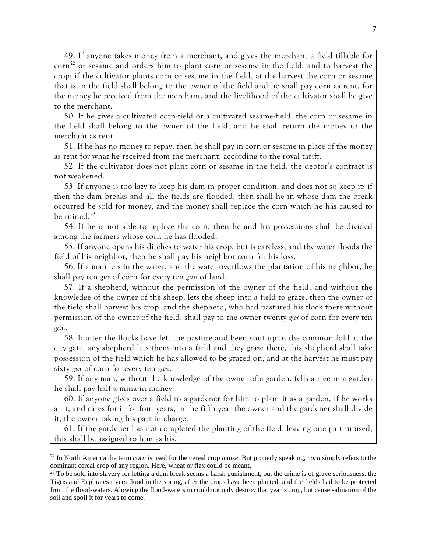49. If anyone takes money from a merchant, and gives the merchant a field tillable for  $\text{corn}^{22}$  $\text{corn}^{22}$  $\text{corn}^{22}$  or sesame and orders him to plant corn or sesame in the field, and to harvest the crop; if the cultivator plants corn or sesame in the field, at the harvest the corn or sesame that is in the field shall belong to the owner of the field and he shall pay corn as rent, for the money he received from the merchant, and the livelihood of the cultivator shall he give to the merchant.

50. If he gives a cultivated corn-field or a cultivated sesame-field, the corn or sesame in the field shall belong to the owner of the field, and he shall return the money to the merchant as rent.

51. If he has no money to repay, then he shall pay in corn or sesame in place of the money as rent for what he received from the merchant, according to the royal tariff.

52. If the cultivator does not plant corn or sesame in the field, the debtor's contract is not weakened.

53. If anyone is too lazy to keep his dam in proper condition, and does not so keep it; if then the dam breaks and all the fields are flooded, then shall he in whose dam the break occurred be sold for money, and the money shall replace the corn which he has caused to be ruined. $^{23}$  $^{23}$  $^{23}$ 

54. If he is not able to replace the corn, then he and his possessions shall be divided among the farmers whose corn he has flooded.

55. If anyone opens his ditches to water his crop, but is careless, and the water floods the field of his neighbor, then he shall pay his neighbor corn for his loss.

56. If a man lets in the water, and the water overflows the plantation of his neighbor, he shall pay ten *gur* of corn for every ten *gan* of land.

57. If a shepherd, without the permission of the owner of the field, and without the knowledge of the owner of the sheep, lets the sheep into a field to graze, then the owner of the field shall harvest his crop, and the shepherd, who had pastured his flock there without permission of the owner of the field, shall pay to the owner twenty *gur* of corn for every ten *gan*.

58. If after the flocks have left the pasture and been shut up in the common fold at the city gate, any shepherd lets them into a field and they graze there, this shepherd shall take possession of the field which he has allowed to be grazed on, and at the harvest he must pay sixty *gur* of corn for every ten *gan*.

59. If any man, without the knowledge of the owner of a garden, fells a tree in a garden he shall pay half a mina in money.

60. If anyone gives over a field to a gardener for him to plant it as a garden, if he works at it, and cares for it for four years, in the fifth year the owner and the gardener shall divide it, the owner taking his part in charge.

61. If the gardener has not completed the planting of the field, leaving one part unused, this shall be assigned to him as his.

<span id="page-6-0"></span><sup>22</sup> In North America the term *corn* is used for the cereal crop *maize*. But properly speaking, *corn* simply refers to the dominant cereal crop of any region. Here, wheat or flax could be meant.

<span id="page-6-1"></span> $23$  To be sold into slavery for letting a dam break seems a harsh punishment, but the crime is of grave seriousness. the Tigris and Euphrates rivers flood in the spring, after the crops have been planted, and the fields had to be protected from the flood-waters. Alowing the flood-waters in could not only destroy that year's crop, but cause salination of the soil and spoil it for years to come.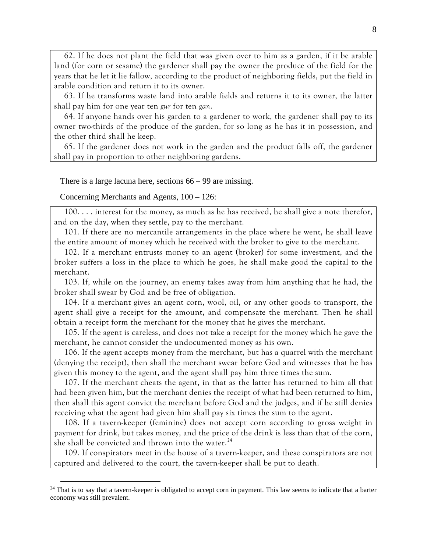62. If he does not plant the field that was given over to him as a garden, if it be arable land (for corn or sesame) the gardener shall pay the owner the produce of the field for the years that he let it lie fallow, according to the product of neighboring fields, put the field in arable condition and return it to its owner.

63. If he transforms waste land into arable fields and returns it to its owner, the latter shall pay him for one year ten *gur* for ten *gan*.

64. If anyone hands over his garden to a gardener to work, the gardener shall pay to its owner two-thirds of the produce of the garden, for so long as he has it in possession, and the other third shall he keep.

65. If the gardener does not work in the garden and the product falls off, the gardener shall pay in proportion to other neighboring gardens.

There is a large lacuna here, sections 66 – 99 are missing.

Concerning Merchants and Agents, 100 – 126:

 $\overline{a}$ 

100. . . . interest for the money, as much as he has received, he shall give a note therefor, and on the day, when they settle, pay to the merchant.

101. If there are no mercantile arrangements in the place where he went, he shall leave the entire amount of money which he received with the broker to give to the merchant.

102. If a merchant entrusts money to an agent (broker) for some investment, and the broker suffers a loss in the place to which he goes, he shall make good the capital to the merchant.

103. If, while on the journey, an enemy takes away from him anything that he had, the broker shall swear by God and be free of obligation.

104. If a merchant gives an agent corn, wool, oil, or any other goods to transport, the agent shall give a receipt for the amount, and compensate the merchant. Then he shall obtain a receipt form the merchant for the money that he gives the merchant.

105. If the agent is careless, and does not take a receipt for the money which he gave the merchant, he cannot consider the undocumented money as his own.

106. If the agent accepts money from the merchant, but has a quarrel with the merchant (denying the receipt), then shall the merchant swear before God and witnesses that he has given this money to the agent, and the agent shall pay him three times the sum.

107. If the merchant cheats the agent, in that as the latter has returned to him all that had been given him, but the merchant denies the receipt of what had been returned to him, then shall this agent convict the merchant before God and the judges, and if he still denies receiving what the agent had given him shall pay six times the sum to the agent.

108. If a tavern-keeper (feminine) does not accept corn according to gross weight in payment for drink, but takes money, and the price of the drink is less than that of the corn, she shall be convicted and thrown into the water.<sup>[24](#page-7-0)</sup>

109. If conspirators meet in the house of a tavern-keeper, and these conspirators are not captured and delivered to the court, the tavern-keeper shall be put to death.

<span id="page-7-0"></span> $24$  That is to say that a tavern-keeper is obligated to accept corn in payment. This law seems to indicate that a barter economy was still prevalent.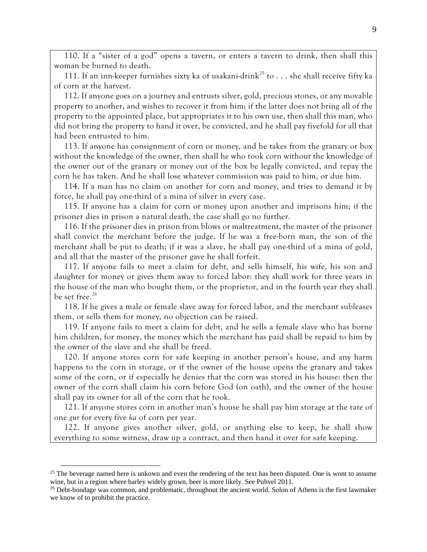110. If a "sister of a god" opens a tavern, or enters a tavern to drink, then shall this woman be burned to death.

111. If an inn-keeper furnishes sixty ka of usakani-drink<sup>[25](#page-8-0)</sup> to  $\dots$  she shall receive fifty ka of corn at the harvest.

112. If anyone goes on a journey and entrusts silver, gold, precious stones, or any movable property to another, and wishes to recover it from him; if the latter does not bring all of the property to the appointed place, but appropriates it to his own use, then shall this man, who did not bring the property to hand it over, be convicted, and he shall pay fivefold for all that had been entrusted to him.

113. If anyone has consignment of corn or money, and he takes from the granary or box without the knowledge of the owner, then shall he who took corn without the knowledge of the owner out of the granary or money out of the box be legally convicted, and repay the corn he has taken. And he shall lose whatever commission was paid to him, or due him.

114. If a man has no claim on another for corn and money, and tries to demand it by force, he shall pay one-third of a mina of silver in every case.

115. If anyone has a claim for corn or money upon another and imprisons him; if the prisoner dies in prison a natural death, the case shall go no further.

116. If the prisoner dies in prison from blows or maltreatment, the master of the prisoner shall convict the merchant before the judge. If he was a free-born man, the son of the merchant shall be put to death; if it was a slave, he shall pay one-third of a mina of gold, and all that the master of the prisoner gave he shall forfeit.

117. If anyone fails to meet a claim for debt, and sells himself, his wife, his son and daughter for money or gives them away to forced labor: they shall work for three years in the house of the man who bought them, or the proprietor, and in the fourth year they shall be set free.<sup>[26](#page-8-1)</sup>

118. If he gives a male or female slave away for forced labor, and the merchant subleases them, or sells them for money, no objection can be raised.

119. If anyone fails to meet a claim for debt, and he sells a female slave who has borne him children, for money, the money which the merchant has paid shall be repaid to him by the owner of the slave and she shall be freed.

120. If anyone stores corn for safe keeping in another person's house, and any harm happens to the corn in storage, or if the owner of the house opens the granary and takes some of the corn, or if especially he denies that the corn was stored in his house: then the owner of the corn shall claim his corn before God (on oath), and the owner of the house shall pay its owner for all of the corn that he took.

121. If anyone stores corn in another man's house he shall pay him storage at the rate of one *gur* for every five *ka* of corn per year.

122. If anyone gives another silver, gold, or anything else to keep, he shall show everything to some witness, draw up a contract, and then hand it over for safe keeping.

<span id="page-8-0"></span> $25$  The beverage named here is unkown and even the rendering of the text has been disputed. One is wont to assume wine, but in a region where barley widely grown, beer is more likely. See Puhvel 2011.

<span id="page-8-1"></span><sup>&</sup>lt;sup>26</sup> Debt-bondage was common, and problematic, throughout the ancient world. Solon of Athens is the first lawmaker we know of to prohibit the practice.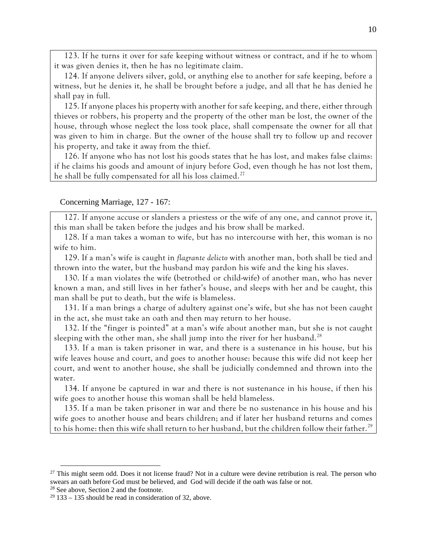123. If he turns it over for safe keeping without witness or contract, and if he to whom it was given denies it, then he has no legitimate claim.

124. If anyone delivers silver, gold, or anything else to another for safe keeping, before a witness, but he denies it, he shall be brought before a judge, and all that he has denied he shall pay in full.

125. If anyone places his property with another for safe keeping, and there, either through thieves or robbers, his property and the property of the other man be lost, the owner of the house, through whose neglect the loss took place, shall compensate the owner for all that was given to him in charge. But the owner of the house shall try to follow up and recover his property, and take it away from the thief.

126. If anyone who has not lost his goods states that he has lost, and makes false claims: if he claims his goods and amount of injury before God, even though he has not lost them, he shall be fully compensated for all his loss claimed.<sup>[27](#page-9-0)</sup>

#### Concerning Marriage, 127 - 167:

127. If anyone accuse or slanders a priestess or the wife of any one, and cannot prove it, this man shall be taken before the judges and his brow shall be marked.

128. If a man takes a woman to wife, but has no intercourse with her, this woman is no wife to him.

129. If a man's wife is caught in *flagrante delicto* with another man, both shall be tied and thrown into the water, but the husband may pardon his wife and the king his slaves.

130. If a man violates the wife (betrothed or child-wife) of another man, who has never known a man, and still lives in her father's house, and sleeps with her and be caught, this man shall be put to death, but the wife is blameless.

131. If a man brings a charge of adultery against one's wife, but she has not been caught in the act, she must take an oath and then may return to her house.

132. If the "finger is pointed" at a man's wife about another man, but she is not caught sleeping with the other man, she shall jump into the river for her husband.<sup>[28](#page-9-1)</sup>

133. If a man is taken prisoner in war, and there is a sustenance in his house, but his wife leaves house and court, and goes to another house: because this wife did not keep her court, and went to another house, she shall be judicially condemned and thrown into the water.

134. If anyone be captured in war and there is not sustenance in his house, if then his wife goes to another house this woman shall be held blameless.

135. If a man be taken prisoner in war and there be no sustenance in his house and his wife goes to another house and bears children; and if later her husband returns and comes to his home: then this wife shall return to her husband, but the children follow their father.<sup>[29](#page-9-2)</sup>

<span id="page-9-0"></span> $27$  This might seem odd. Does it not license fraud? Not in a culture were devine retribution is real. The person who swears an oath before God must be believed, and God will decide if the oath was false or not.

<span id="page-9-1"></span><sup>&</sup>lt;sup>28</sup> See above, Section 2 and the footnote.

<span id="page-9-2"></span> $29$  133 – 135 should be read in consideration of 32, above.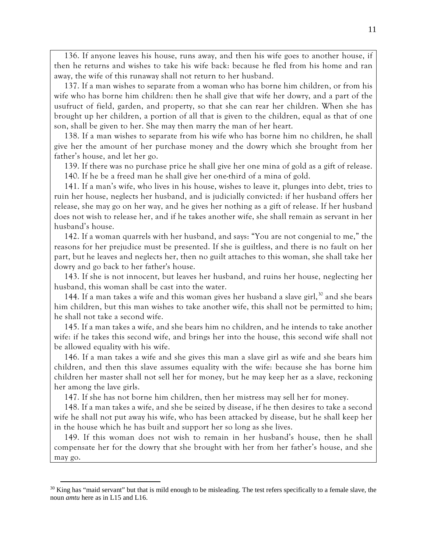136. If anyone leaves his house, runs away, and then his wife goes to another house, if then he returns and wishes to take his wife back: because he fled from his home and ran away, the wife of this runaway shall not return to her husband.

137. If a man wishes to separate from a woman who has borne him children, or from his wife who has borne him children: then he shall give that wife her dowry, and a part of the usufruct of field, garden, and property, so that she can rear her children. When she has brought up her children, a portion of all that is given to the children, equal as that of one son, shall be given to her. She may then marry the man of her heart.

138. If a man wishes to separate from his wife who has borne him no children, he shall give her the amount of her purchase money and the dowry which she brought from her father's house, and let her go.

139. If there was no purchase price he shall give her one mina of gold as a gift of release.

140. If he be a freed man he shall give her one-third of a mina of gold.

141. If a man's wife, who lives in his house, wishes to leave it, plunges into debt, tries to ruin her house, neglects her husband, and is judicially convicted: if her husband offers her release, she may go on her way, and he gives her nothing as a gift of release. If her husband does not wish to release her, and if he takes another wife, she shall remain as servant in her husband's house.

142. If a woman quarrels with her husband, and says: "You are not congenial to me," the reasons for her prejudice must be presented. If she is guiltless, and there is no fault on her part, but he leaves and neglects her, then no guilt attaches to this woman, she shall take her dowry and go back to her father's house.

143. If she is not innocent, but leaves her husband, and ruins her house, neglecting her husband, this woman shall be cast into the water.

144. If a man takes a wife and this woman gives her husband a slave girl, [30](#page-10-0) and she bears him children, but this man wishes to take another wife, this shall not be permitted to him; he shall not take a second wife.

145. If a man takes a wife, and she bears him no children, and he intends to take another wife: if he takes this second wife, and brings her into the house, this second wife shall not be allowed equality with his wife.

146. If a man takes a wife and she gives this man a slave girl as wife and she bears him children, and then this slave assumes equality with the wife: because she has borne him children her master shall not sell her for money, but he may keep her as a slave, reckoning her among the lave girls.

147. If she has not borne him children, then her mistress may sell her for money.

148. If a man takes a wife, and she be seized by disease, if he then desires to take a second wife he shall not put away his wife, who has been attacked by disease, but he shall keep her in the house which he has built and support her so long as she lives.

149. If this woman does not wish to remain in her husband's house, then he shall compensate her for the dowry that she brought with her from her father's house, and she may go.

<span id="page-10-0"></span> $30$  King has "maid servant" but that is mild enough to be misleading. The test refers specifically to a female slave, the noun *amtu* here as in L15 and L16.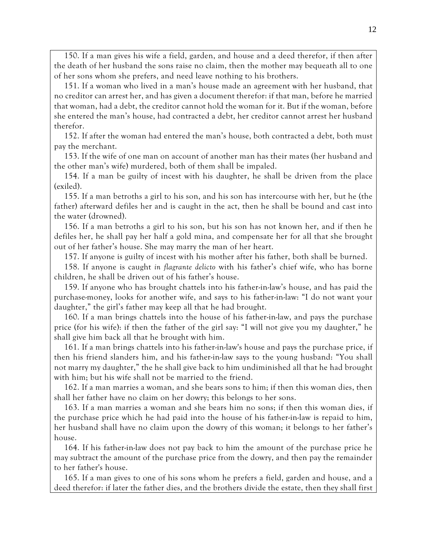150. If a man gives his wife a field, garden, and house and a deed therefor, if then after the death of her husband the sons raise no claim, then the mother may bequeath all to one of her sons whom she prefers, and need leave nothing to his brothers.

151. If a woman who lived in a man's house made an agreement with her husband, that no creditor can arrest her, and has given a document therefor: if that man, before he married that woman, had a debt, the creditor cannot hold the woman for it. But if the woman, before she entered the man's house, had contracted a debt, her creditor cannot arrest her husband therefor.

152. If after the woman had entered the man's house, both contracted a debt, both must pay the merchant.

153. If the wife of one man on account of another man has their mates (her husband and the other man's wife) murdered, both of them shall be impaled.

154. If a man be guilty of incest with his daughter, he shall be driven from the place (exiled).

155. If a man betroths a girl to his son, and his son has intercourse with her, but he (the father) afterward defiles her and is caught in the act, then he shall be bound and cast into the water (drowned).

156. If a man betroths a girl to his son, but his son has not known her, and if then he defiles her, he shall pay her half a gold mina, and compensate her for all that she brought out of her father's house. She may marry the man of her heart.

157. If anyone is guilty of incest with his mother after his father, both shall be burned.

158. If anyone is caught *in flagrante delicto* with his father's chief wife, who has borne children, he shall be driven out of his father's house.

159. If anyone who has brought chattels into his father-in-law's house, and has paid the purchase-money, looks for another wife, and says to his father-in-law: "I do not want your daughter," the girl's father may keep all that he had brought.

160. If a man brings chattels into the house of his father-in-law, and pays the purchase price (for his wife): if then the father of the girl say: "I will not give you my daughter," he shall give him back all that he brought with him.

161. If a man brings chattels into his father-in-law's house and pays the purchase price, if then his friend slanders him, and his father-in-law says to the young husband: "You shall not marry my daughter," the he shall give back to him undiminished all that he had brought with him; but his wife shall not be married to the friend.

162. If a man marries a woman, and she bears sons to him; if then this woman dies, then shall her father have no claim on her dowry; this belongs to her sons.

163. If a man marries a woman and she bears him no sons; if then this woman dies, if the purchase price which he had paid into the house of his father-in-law is repaid to him, her husband shall have no claim upon the dowry of this woman; it belongs to her father's house.

164. If his father-in-law does not pay back to him the amount of the purchase price he may subtract the amount of the purchase price from the dowry, and then pay the remainder to her father's house.

165. If a man gives to one of his sons whom he prefers a field, garden and house, and a deed therefor: if later the father dies, and the brothers divide the estate, then they shall first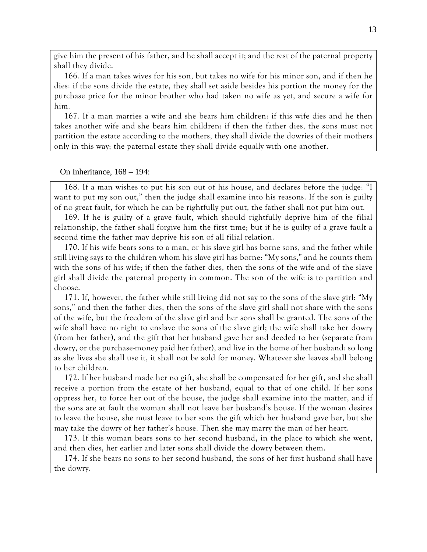give him the present of his father, and he shall accept it; and the rest of the paternal property shall they divide.

166. If a man takes wives for his son, but takes no wife for his minor son, and if then he dies: if the sons divide the estate, they shall set aside besides his portion the money for the purchase price for the minor brother who had taken no wife as yet, and secure a wife for him.

167. If a man marries a wife and she bears him children: if this wife dies and he then takes another wife and she bears him children: if then the father dies, the sons must not partition the estate according to the mothers, they shall divide the dowries of their mothers only in this way; the paternal estate they shall divide equally with one another.

## On Inheritance, 168 – 194:

168. If a man wishes to put his son out of his house, and declares before the judge: "I want to put my son out," then the judge shall examine into his reasons. If the son is guilty of no great fault, for which he can be rightfully put out, the father shall not put him out.

169. If he is guilty of a grave fault, which should rightfully deprive him of the filial relationship, the father shall forgive him the first time; but if he is guilty of a grave fault a second time the father may deprive his son of all filial relation.

170. If his wife bears sons to a man, or his slave girl has borne sons, and the father while still living says to the children whom his slave girl has borne: "My sons," and he counts them with the sons of his wife; if then the father dies, then the sons of the wife and of the slave girl shall divide the paternal property in common. The son of the wife is to partition and choose.

171. If, however, the father while still living did not say to the sons of the slave girl: "My sons," and then the father dies, then the sons of the slave girl shall not share with the sons of the wife, but the freedom of the slave girl and her sons shall be granted. The sons of the wife shall have no right to enslave the sons of the slave girl; the wife shall take her dowry (from her father), and the gift that her husband gave her and deeded to her (separate from dowry, or the purchase-money paid her father), and live in the home of her husband: so long as she lives she shall use it, it shall not be sold for money. Whatever she leaves shall belong to her children.

172. If her husband made her no gift, she shall be compensated for her gift, and she shall receive a portion from the estate of her husband, equal to that of one child. If her sons oppress her, to force her out of the house, the judge shall examine into the matter, and if the sons are at fault the woman shall not leave her husband's house. If the woman desires to leave the house, she must leave to her sons the gift which her husband gave her, but she may take the dowry of her father's house. Then she may marry the man of her heart.

173. If this woman bears sons to her second husband, in the place to which she went, and then dies, her earlier and later sons shall divide the dowry between them.

174. If she bears no sons to her second husband, the sons of her first husband shall have the dowry.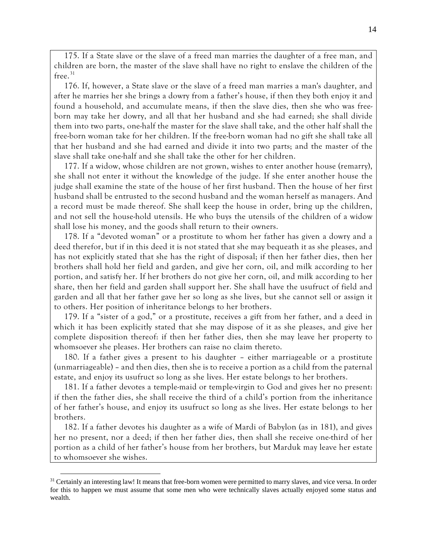175. If a State slave or the slave of a freed man marries the daughter of a free man, and children are born, the master of the slave shall have no right to enslave the children of the free. $31$ 

176. If, however, a State slave or the slave of a freed man marries a man's daughter, and after he marries her she brings a dowry from a father's house, if then they both enjoy it and found a household, and accumulate means, if then the slave dies, then she who was freeborn may take her dowry, and all that her husband and she had earned; she shall divide them into two parts, one-half the master for the slave shall take, and the other half shall the free-born woman take for her children. If the free-born woman had no gift she shall take all that her husband and she had earned and divide it into two parts; and the master of the slave shall take one-half and she shall take the other for her children.

177. If a widow, whose children are not grown, wishes to enter another house (remarry), she shall not enter it without the knowledge of the judge. If she enter another house the judge shall examine the state of the house of her first husband. Then the house of her first husband shall be entrusted to the second husband and the woman herself as managers. And a record must be made thereof. She shall keep the house in order, bring up the children, and not sell the house-hold utensils. He who buys the utensils of the children of a widow shall lose his money, and the goods shall return to their owners.

178. If a "devoted woman" or a prostitute to whom her father has given a dowry and a deed therefor, but if in this deed it is not stated that she may bequeath it as she pleases, and has not explicitly stated that she has the right of disposal; if then her father dies, then her brothers shall hold her field and garden, and give her corn, oil, and milk according to her portion, and satisfy her. If her brothers do not give her corn, oil, and milk according to her share, then her field and garden shall support her. She shall have the usufruct of field and garden and all that her father gave her so long as she lives, but she cannot sell or assign it to others. Her position of inheritance belongs to her brothers.

179. If a "sister of a god," or a prostitute, receives a gift from her father, and a deed in which it has been explicitly stated that she may dispose of it as she pleases, and give her complete disposition thereof: if then her father dies, then she may leave her property to whomsoever she pleases. Her brothers can raise no claim thereto.

180. If a father gives a present to his daughter – either marriageable or a prostitute (unmarriageable) – and then dies, then she is to receive a portion as a child from the paternal estate, and enjoy its usufruct so long as she lives. Her estate belongs to her brothers.

181. If a father devotes a temple-maid or temple-virgin to God and gives her no present: if then the father dies, she shall receive the third of a child's portion from the inheritance of her father's house, and enjoy its usufruct so long as she lives. Her estate belongs to her brothers.

182. If a father devotes his daughter as a wife of Mardi of Babylon (as in 181), and gives her no present, nor a deed; if then her father dies, then shall she receive one-third of her portion as a child of her father's house from her brothers, but Marduk may leave her estate to whomsoever she wishes.

<span id="page-13-0"></span><sup>&</sup>lt;sup>31</sup> Certainly an interesting law! It means that free-born women were permitted to marry slaves, and vice versa. In order for this to happen we must assume that some men who were technically slaves actually enjoyed some status and wealth.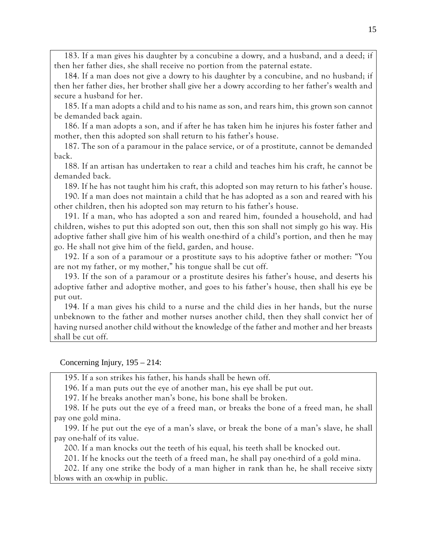183. If a man gives his daughter by a concubine a dowry, and a husband, and a deed; if then her father dies, she shall receive no portion from the paternal estate.

184. If a man does not give a dowry to his daughter by a concubine, and no husband; if then her father dies, her brother shall give her a dowry according to her father's wealth and secure a husband for her.

185. If a man adopts a child and to his name as son, and rears him, this grown son cannot be demanded back again.

186. If a man adopts a son, and if after he has taken him he injures his foster father and mother, then this adopted son shall return to his father's house.

187. The son of a paramour in the palace service, or of a prostitute, cannot be demanded back.

188. If an artisan has undertaken to rear a child and teaches him his craft, he cannot be demanded back.

189. If he has not taught him his craft, this adopted son may return to his father's house.

190. If a man does not maintain a child that he has adopted as a son and reared with his other children, then his adopted son may return to his father's house.

191. If a man, who has adopted a son and reared him, founded a household, and had children, wishes to put this adopted son out, then this son shall not simply go his way. His adoptive father shall give him of his wealth one-third of a child's portion, and then he may go. He shall not give him of the field, garden, and house.

192. If a son of a paramour or a prostitute says to his adoptive father or mother: "You are not my father, or my mother," his tongue shall be cut off.

193. If the son of a paramour or a prostitute desires his father's house, and deserts his adoptive father and adoptive mother, and goes to his father's house, then shall his eye be put out.

194. If a man gives his child to a nurse and the child dies in her hands, but the nurse unbeknown to the father and mother nurses another child, then they shall convict her of having nursed another child without the knowledge of the father and mother and her breasts shall be cut off.

Concerning Injury, 195 – 214:

195. If a son strikes his father, his hands shall be hewn off.

196. If a man puts out the eye of another man, his eye shall be put out.

197. If he breaks another man's bone, his bone shall be broken.

198. If he puts out the eye of a freed man, or breaks the bone of a freed man, he shall pay one gold mina.

199. If he put out the eye of a man's slave, or break the bone of a man's slave, he shall pay one-half of its value.

200. If a man knocks out the teeth of his equal, his teeth shall be knocked out.

201. If he knocks out the teeth of a freed man, he shall pay one-third of a gold mina.

202. If any one strike the body of a man higher in rank than he, he shall receive sixty blows with an ox-whip in public.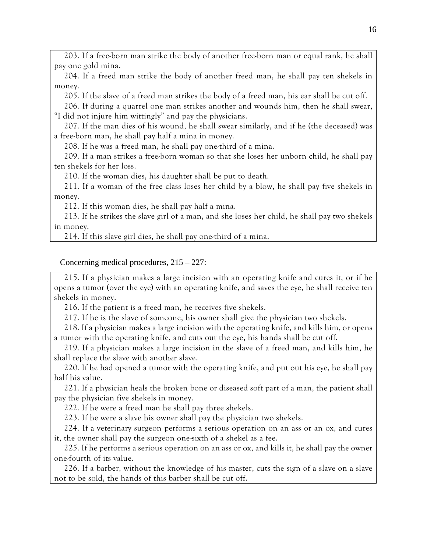203. If a free-born man strike the body of another free-born man or equal rank, he shall pay one gold mina.

204. If a freed man strike the body of another freed man, he shall pay ten shekels in money.

205. If the slave of a freed man strikes the body of a freed man, his ear shall be cut off.

206. If during a quarrel one man strikes another and wounds him, then he shall swear, "I did not injure him wittingly" and pay the physicians.

207. If the man dies of his wound, he shall swear similarly, and if he (the deceased) was a free-born man, he shall pay half a mina in money.

208. If he was a freed man, he shall pay one-third of a mina.

209. If a man strikes a free-born woman so that she loses her unborn child, he shall pay ten shekels for her loss.

210. If the woman dies, his daughter shall be put to death.

211. If a woman of the free class loses her child by a blow, he shall pay five shekels in money.

212. If this woman dies, he shall pay half a mina.

213. If he strikes the slave girl of a man, and she loses her child, he shall pay two shekels in money.

214. If this slave girl dies, he shall pay one-third of a mina.

Concerning medical procedures, 215 – 227:

215. If a physician makes a large incision with an operating knife and cures it, or if he opens a tumor (over the eye) with an operating knife, and saves the eye, he shall receive ten shekels in money.

216. If the patient is a freed man, he receives five shekels.

217. If he is the slave of someone, his owner shall give the physician two shekels.

218. If a physician makes a large incision with the operating knife, and kills him, or opens a tumor with the operating knife, and cuts out the eye, his hands shall be cut off.

219. If a physician makes a large incision in the slave of a freed man, and kills him, he shall replace the slave with another slave.

220. If he had opened a tumor with the operating knife, and put out his eye, he shall pay half his value.

221. If a physician heals the broken bone or diseased soft part of a man, the patient shall pay the physician five shekels in money.

222. If he were a freed man he shall pay three shekels.

223. If he were a slave his owner shall pay the physician two shekels.

224. If a veterinary surgeon performs a serious operation on an ass or an ox, and cures it, the owner shall pay the surgeon one-sixth of a shekel as a fee.

225. If he performs a serious operation on an ass or ox, and kills it, he shall pay the owner one-fourth of its value.

226. If a barber, without the knowledge of his master, cuts the sign of a slave on a slave not to be sold, the hands of this barber shall be cut off.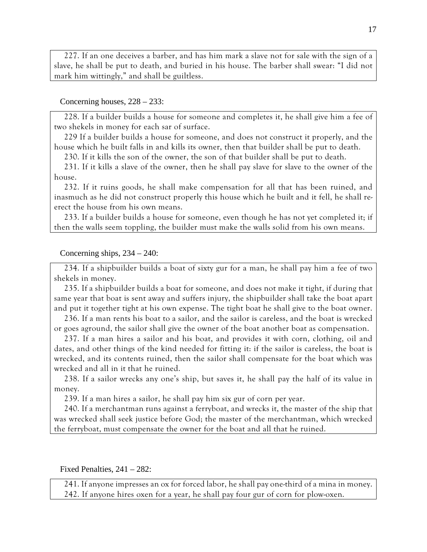227. If an one deceives a barber, and has him mark a slave not for sale with the sign of a slave, he shall be put to death, and buried in his house. The barber shall swear: "I did not mark him wittingly," and shall be guiltless.

### Concerning houses, 228 – 233:

228. If a builder builds a house for someone and completes it, he shall give him a fee of two shekels in money for each sar of surface.

229 If a builder builds a house for someone, and does not construct it properly, and the house which he built falls in and kills its owner, then that builder shall be put to death.

230. If it kills the son of the owner, the son of that builder shall be put to death.

231. If it kills a slave of the owner, then he shall pay slave for slave to the owner of the house.

232. If it ruins goods, he shall make compensation for all that has been ruined, and inasmuch as he did not construct properly this house which he built and it fell, he shall reerect the house from his own means.

233. If a builder builds a house for someone, even though he has not yet completed it; if then the walls seem toppling, the builder must make the walls solid from his own means.

Concerning ships, 234 – 240:

234. If a shipbuilder builds a boat of sixty gur for a man, he shall pay him a fee of two shekels in money.

235. If a shipbuilder builds a boat for someone, and does not make it tight, if during that same year that boat is sent away and suffers injury, the shipbuilder shall take the boat apart and put it together tight at his own expense. The tight boat he shall give to the boat owner.

236. If a man rents his boat to a sailor, and the sailor is careless, and the boat is wrecked or goes aground, the sailor shall give the owner of the boat another boat as compensation.

237. If a man hires a sailor and his boat, and provides it with corn, clothing, oil and dates, and other things of the kind needed for fitting it: if the sailor is careless, the boat is wrecked, and its contents ruined, then the sailor shall compensate for the boat which was wrecked and all in it that he ruined.

238. If a sailor wrecks any one's ship, but saves it, he shall pay the half of its value in money.

239. If a man hires a sailor, he shall pay him six gur of corn per year.

240. If a merchantman runs against a ferryboat, and wrecks it, the master of the ship that was wrecked shall seek justice before God; the master of the merchantman, which wrecked the ferryboat, must compensate the owner for the boat and all that he ruined.

Fixed Penalties, 241 – 282:

241. If anyone impresses an ox for forced labor, he shall pay one-third of a mina in money. 242. If anyone hires oxen for a year, he shall pay four gur of corn for plow-oxen.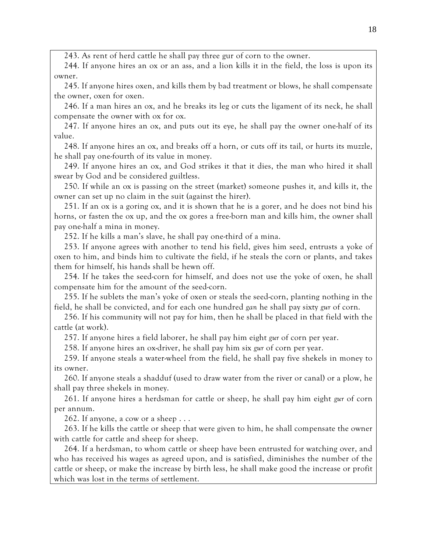243. As rent of herd cattle he shall pay three gur of corn to the owner.

244. If anyone hires an ox or an ass, and a lion kills it in the field, the loss is upon its owner.

245. If anyone hires oxen, and kills them by bad treatment or blows, he shall compensate the owner, oxen for oxen.

246. If a man hires an ox, and he breaks its leg or cuts the ligament of its neck, he shall compensate the owner with ox for ox.

247. If anyone hires an ox, and puts out its eye, he shall pay the owner one-half of its value.

248. If anyone hires an ox, and breaks off a horn, or cuts off its tail, or hurts its muzzle, he shall pay one-fourth of its value in money.

249. If anyone hires an ox, and God strikes it that it dies, the man who hired it shall swear by God and be considered guiltless.

250. If while an ox is passing on the street (market) someone pushes it, and kills it, the owner can set up no claim in the suit (against the hirer).

251. If an ox is a goring ox, and it is shown that he is a gorer, and he does not bind his horns, or fasten the ox up, and the ox gores a free-born man and kills him, the owner shall pay one-half a mina in money.

252. If he kills a man's slave, he shall pay one-third of a mina.

253. If anyone agrees with another to tend his field, gives him seed, entrusts a yoke of oxen to him, and binds him to cultivate the field, if he steals the corn or plants, and takes them for himself, his hands shall be hewn off.

254. If he takes the seed-corn for himself, and does not use the yoke of oxen, he shall compensate him for the amount of the seed-corn.

255. If he sublets the man's yoke of oxen or steals the seed-corn, planting nothing in the field, he shall be convicted, and for each one hundred *gan* he shall pay sixty *gur* of corn.

256. If his community will not pay for him, then he shall be placed in that field with the cattle (at work).

257. If anyone hires a field laborer, he shall pay him eight *gur* of corn per year.

258. If anyone hires an ox-driver, he shall pay him six *gur* of corn per year.

259. If anyone steals a water-wheel from the field, he shall pay five shekels in money to its owner.

260. If anyone steals a shadduf (used to draw water from the river or canal) or a plow, he shall pay three shekels in money.

261. If anyone hires a herdsman for cattle or sheep, he shall pay him eight *gur* of corn per annum.

262. If anyone, a cow or a sheep . . .

263. If he kills the cattle or sheep that were given to him, he shall compensate the owner with cattle for cattle and sheep for sheep.

264. If a herdsman, to whom cattle or sheep have been entrusted for watching over, and who has received his wages as agreed upon, and is satisfied, diminishes the number of the cattle or sheep, or make the increase by birth less, he shall make good the increase or profit which was lost in the terms of settlement.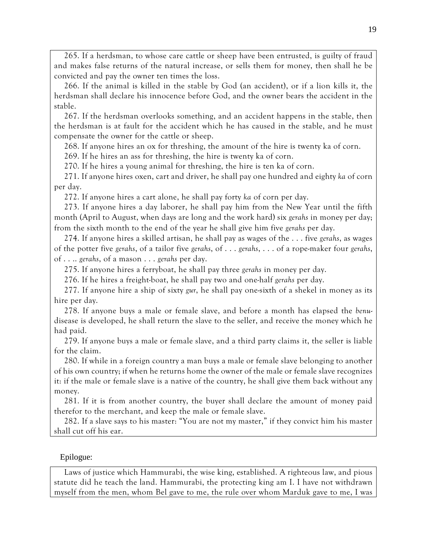265. If a herdsman, to whose care cattle or sheep have been entrusted, is guilty of fraud and makes false returns of the natural increase, or sells them for money, then shall he be convicted and pay the owner ten times the loss.

266. If the animal is killed in the stable by God (an accident), or if a lion kills it, the herdsman shall declare his innocence before God, and the owner bears the accident in the stable.

267. If the herdsman overlooks something, and an accident happens in the stable, then the herdsman is at fault for the accident which he has caused in the stable, and he must compensate the owner for the cattle or sheep.

268. If anyone hires an ox for threshing, the amount of the hire is twenty ka of corn.

269. If he hires an ass for threshing, the hire is twenty ka of corn.

270. If he hires a young animal for threshing, the hire is ten ka of corn.

271. If anyone hires oxen, cart and driver, he shall pay one hundred and eighty *ka* of corn per day.

272. If anyone hires a cart alone, he shall pay forty *ka* of corn per day.

273. If anyone hires a day laborer, he shall pay him from the New Year until the fifth month (April to August, when days are long and the work hard) six *gerahs* in money per day; from the sixth month to the end of the year he shall give him five *gerahs* per day.

274. If anyone hires a skilled artisan, he shall pay as wages of the . . . five *gerahs*, as wages of the potter five *gerahs*, of a tailor five *gerahs*, of . . . *gerahs*, . . . of a rope-maker four *gerahs*, of . . .. *gerahs*, of a mason . . . *gerahs* per day.

275. If anyone hires a ferryboat, he shall pay three *gerahs* in money per day.

276. If he hires a freight-boat, he shall pay two and one-half *gerahs* per day.

277. If anyone hire a ship of sixty *gur*, he shall pay one-sixth of a shekel in money as its hire per day.

278. If anyone buys a male or female slave, and before a month has elapsed the *benu*disease is developed, he shall return the slave to the seller, and receive the money which he had paid.

279. If anyone buys a male or female slave, and a third party claims it, the seller is liable for the claim.

280. If while in a foreign country a man buys a male or female slave belonging to another of his own country; if when he returns home the owner of the male or female slave recognizes it: if the male or female slave is a native of the country, he shall give them back without any money.

281. If it is from another country, the buyer shall declare the amount of money paid therefor to the merchant, and keep the male or female slave.

282. If a slave says to his master: "You are not my master," if they convict him his master shall cut off his ear.

# Epilogue:

Laws of justice which Hammurabi, the wise king, established. A righteous law, and pious statute did he teach the land. Hammurabi, the protecting king am I. I have not withdrawn myself from the men, whom Bel gave to me, the rule over whom Marduk gave to me, I was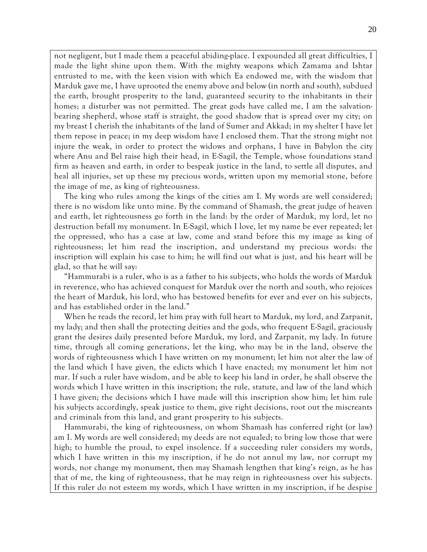not negligent, but I made them a peaceful abiding-place. I expounded all great difficulties, I made the light shine upon them. With the mighty weapons which Zamama and Ishtar entrusted to me, with the keen vision with which Ea endowed me, with the wisdom that Marduk gave me, I have uprooted the enemy above and below (in north and south), subdued the earth, brought prosperity to the land, guaranteed security to the inhabitants in their homes; a disturber was not permitted. The great gods have called me, I am the salvationbearing shepherd, whose staff is straight, the good shadow that is spread over my city; on my breast I cherish the inhabitants of the land of Sumer and Akkad; in my shelter I have let them repose in peace; in my deep wisdom have I enclosed them. That the strong might not injure the weak, in order to protect the widows and orphans, I have in Babylon the city where Anu and Bel raise high their head, in E-Sagil, the Temple, whose foundations stand firm as heaven and earth, in order to bespeak justice in the land, to settle all disputes, and heal all injuries, set up these my precious words, written upon my memorial stone, before the image of me, as king of righteousness.

The king who rules among the kings of the cities am I. My words are well considered; there is no wisdom like unto mine. By the command of Shamash, the great judge of heaven and earth, let righteousness go forth in the land: by the order of Marduk, my lord, let no destruction befall my monument. In E-Sagil, which I love, let my name be ever repeated; let the oppressed, who has a case at law, come and stand before this my image as king of righteousness; let him read the inscription, and understand my precious words: the inscription will explain his case to him; he will find out what is just, and his heart will be glad, so that he will say:

"Hammurabi is a ruler, who is as a father to his subjects, who holds the words of Marduk in reverence, who has achieved conquest for Marduk over the north and south, who rejoices the heart of Marduk, his lord, who has bestowed benefits for ever and ever on his subjects, and has established order in the land."

When he reads the record, let him pray with full heart to Marduk, my lord, and Zarpanit, my lady; and then shall the protecting deities and the gods, who frequent E-Sagil, graciously grant the desires daily presented before Marduk, my lord, and Zarpanit, my lady. In future time, through all coming generations, let the king, who may be in the land, observe the words of righteousness which I have written on my monument; let him not alter the law of the land which I have given, the edicts which I have enacted; my monument let him not mar. If such a ruler have wisdom, and be able to keep his land in order, he shall observe the words which I have written in this inscription; the rule, statute, and law of the land which I have given; the decisions which I have made will this inscription show him; let him rule his subjects accordingly, speak justice to them, give right decisions, root out the miscreants and criminals from this land, and grant prosperity to his subjects.

Hammurabi, the king of righteousness, on whom Shamash has conferred right (or law) am I. My words are well considered; my deeds are not equaled; to bring low those that were high; to humble the proud, to expel insolence. If a succeeding ruler considers my words, which I have written in this my inscription, if he do not annul my law, nor corrupt my words, nor change my monument, then may Shamash lengthen that king's reign, as he has that of me, the king of righteousness, that he may reign in righteousness over his subjects. If this ruler do not esteem my words, which I have written in my inscription, if he despise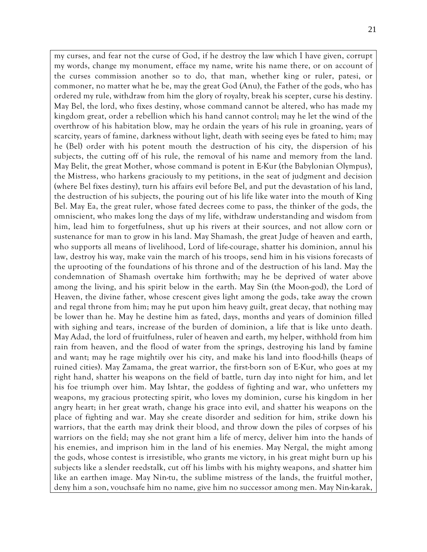my curses, and fear not the curse of God, if he destroy the law which I have given, corrupt my words, change my monument, efface my name, write his name there, or on account of the curses commission another so to do, that man, whether king or ruler, patesi, or commoner, no matter what he be, may the great God (Anu), the Father of the gods, who has ordered my rule, withdraw from him the glory of royalty, break his scepter, curse his destiny. May Bel, the lord, who fixes destiny, whose command cannot be altered, who has made my kingdom great, order a rebellion which his hand cannot control; may he let the wind of the overthrow of his habitation blow, may he ordain the years of his rule in groaning, years of scarcity, years of famine, darkness without light, death with seeing eyes be fated to him; may he (Bel) order with his potent mouth the destruction of his city, the dispersion of his subjects, the cutting off of his rule, the removal of his name and memory from the land. May Belit, the great Mother, whose command is potent in E-Kur (the Babylonian Olympus), the Mistress, who harkens graciously to my petitions, in the seat of judgment and decision (where Bel fixes destiny), turn his affairs evil before Bel, and put the devastation of his land, the destruction of his subjects, the pouring out of his life like water into the mouth of King Bel. May Ea, the great ruler, whose fated decrees come to pass, the thinker of the gods, the omniscient, who makes long the days of my life, withdraw understanding and wisdom from him, lead him to forgetfulness, shut up his rivers at their sources, and not allow corn or sustenance for man to grow in his land. May Shamash, the great Judge of heaven and earth, who supports all means of livelihood, Lord of life-courage, shatter his dominion, annul his law, destroy his way, make vain the march of his troops, send him in his visions forecasts of the uprooting of the foundations of his throne and of the destruction of his land. May the condemnation of Shamash overtake him forthwith; may he be deprived of water above among the living, and his spirit below in the earth. May Sin (the Moon-god), the Lord of Heaven, the divine father, whose crescent gives light among the gods, take away the crown and regal throne from him; may he put upon him heavy guilt, great decay, that nothing may be lower than he. May he destine him as fated, days, months and years of dominion filled with sighing and tears, increase of the burden of dominion, a life that is like unto death. May Adad, the lord of fruitfulness, ruler of heaven and earth, my helper, withhold from him rain from heaven, and the flood of water from the springs, destroying his land by famine and want; may he rage mightily over his city, and make his land into flood-hills (heaps of ruined cities). May Zamama, the great warrior, the first-born son of E-Kur, who goes at my right hand, shatter his weapons on the field of battle, turn day into night for him, and let his foe triumph over him. May Ishtar, the goddess of fighting and war, who unfetters my weapons, my gracious protecting spirit, who loves my dominion, curse his kingdom in her angry heart; in her great wrath, change his grace into evil, and shatter his weapons on the place of fighting and war. May she create disorder and sedition for him, strike down his warriors, that the earth may drink their blood, and throw down the piles of corpses of his warriors on the field; may she not grant him a life of mercy, deliver him into the hands of his enemies, and imprison him in the land of his enemies. May Nergal, the might among the gods, whose contest is irresistible, who grants me victory, in his great might burn up his subjects like a slender reedstalk, cut off his limbs with his mighty weapons, and shatter him like an earthen image. May Nin-tu, the sublime mistress of the lands, the fruitful mother, deny him a son, vouchsafe him no name, give him no successor among men. May Nin-karak,